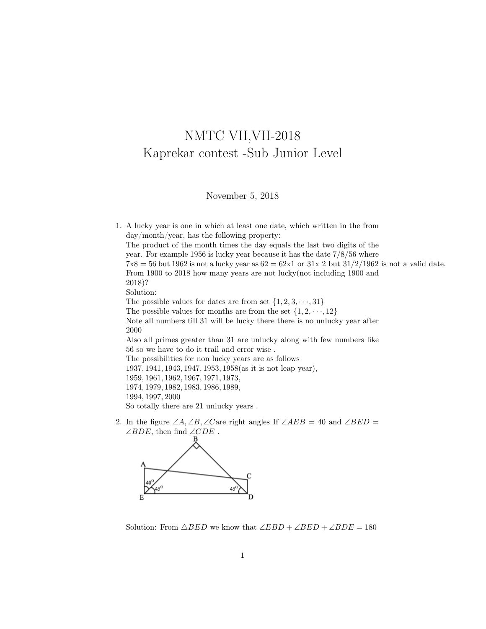## NMTC VII,VII-2018 Kaprekar contest -Sub Junior Level

November 5, 2018

1. A lucky year is one in which at least one date, which written in the from day/month/year, has the following property: The product of the month times the day equals the last two digits of the year. For example 1956 is lucky year because it has the date 7/8/56 where  $7x8 = 56$  but 1962 is not a lucky year as  $62 = 62x1$  or  $31x$  2 but  $31/2/1962$  is not a valid date. From 1900 to 2018 how many years are not lucky(not including 1900 and 2018)? Solution: The possible values for dates are from set  $\{1, 2, 3, \dots, 31\}$ The possible values for months are from the set  $\{1, 2, \dots, 12\}$ Note all numbers till 31 will be lucky there there is no unlucky year after 2000 Also all primes greater than 31 are unlucky along with few numbers like 56 so we have to do it trail and error wise . The possibilities for non lucky years are as follows 1937, 1941, 1943, 1947, 1953, 1958(as it is not leap year), 1959, 1961, 1962, 1967, 1971, 1973, 1974, 1979, 1982, 1983, 1986, 1989, 1994, 1997, 2000 So totally there are 21 unlucky years .

2. In the figure  $\angle A, \angle B, \angle C$  are right angles If  $\angle AEB = 40$  and  $\angle BED =$  $\angle BDE$ , then find  $\angle CDE$ .



Solution: From  $\triangle BED$  we know that  $\angle EBD + \angle BED + \angle BDE = 180$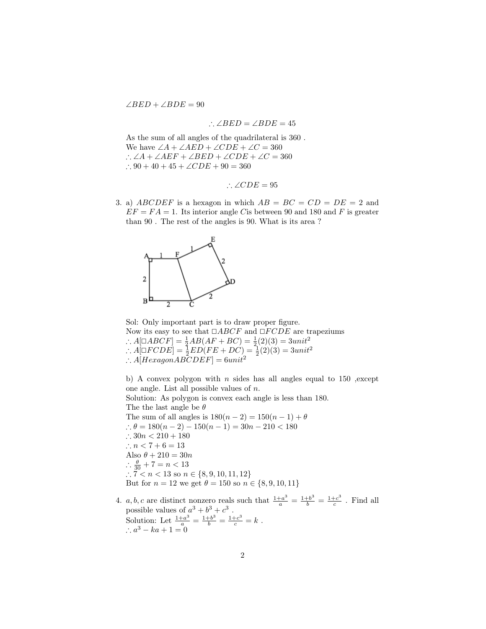$\angle BED + \angle BDE = 90$ 

$$
\therefore \angle BED = \angle BDE = 45
$$

As the sum of all angles of the quadrilateral is 360 . We have  $\angle A + \angle AED + \angle CDE + \angle C = 360$ ∴  $\angle A + \angle AEF + \angle BED + \angle CDE + \angle C = 360$ ∴ 90 + 40 + 45 + ∠ $CDE$  + 90 = 360

$$
\therefore \angle CDE = 95
$$

3. a) ABCDEF is a hexagon in which  $AB = BC = CD = DE = 2$  and  $EF = FA = 1$ . Its interior angle C is between 90 and 180 and F is greater than 90 . The rest of the angles is 90. What is its area ?



Sol: Only important part is to draw proper figure. Now its easy to see that  $\Box ABCF$  and  $\Box F CDE$  are trapeziums ∴  $A[ \Box ABCF] = \frac{1}{2}AB(AF + BC) = \frac{1}{2}(2)(3) = 3unit^2$ <br>
∴  $A[ \Box ECDF] = \frac{1}{2}ED(EF + DC) = \frac{1}{2}(2)(3) = 3unit^2$  $\therefore A[\Box F CDE] = \frac{1}{2} ED(FE + DC) = \frac{1}{2}(2)(3) = 3unit^2$ ∴  $A[HexagonAB\overset{\sim}{C}DEF] = 6unit^2$ 

b) A convex polygon with  $n$  sides has all angles equal to 150 , except one angle. List all possible values of n.

Solution: As polygon is convex each angle is less than 180. The the last angle be  $\theta$ The sum of all angles is  $180(n-2) = 150(n-1) + \theta$ ∴  $\theta = 180(n-2) - 150(n-1) = 30n - 210 < 180$ ∴  $30n < 210 + 180$ ∴  $n < 7 + 6 = 13$ Also  $\theta + 210 = 30n$  $\therefore \frac{\theta}{30} + 7 = n < 13$ ∴ 7 < n < 13 so n ∈ {8, 9, 10, 11, 12} But for  $n = 12$  we get  $\theta = 150$  so  $n \in \{8, 9, 10, 11\}$ 

4. a, b, c are distinct nonzero reals such that  $\frac{1+a^3}{a} = \frac{1+b^3}{b} = \frac{1+c^3}{c}$  $\frac{ec^{\circ}}{c}$  . Find all possible values of  $a^3 + b^3 + c^3$ . Solution: Let  $\frac{1+a^3}{a} = \frac{1+b^3}{b} = \frac{1+c^3}{c} = k$ .  $\therefore a^3 - ka + 1 = 0$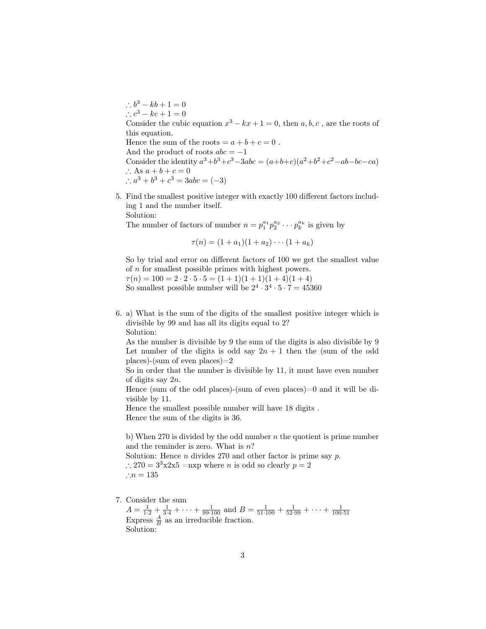$\therefore b^3 - kb + 1 = 0$  $\therefore c^3 - kc + 1 = 0$ Consider the cubic equation  $x^3 - kx + 1 = 0$ , then  $a, b, c$ , are the roots of this equation. Hence the sum of the roots  $= a + b + c = 0$ . And the product of roots  $abc = -1$ Consider the identity  $a^3+b^3+c^3-3abc = (a+b+c)(a^2+b^2+c^2-ab-bc-ca)$ ∴ As  $a + b + c = 0$ ∴  $a^3 + b^3 + c^3 = 3abc = (-3)$ 

5. Find the smallest positive integer with exactly 100 different factors including 1 and the number itself. Solution:

The number of factors of number  $n = p_1^{a_1} p_2^{a_2} \cdots p_k^{a_k}$  is given by

$$
\tau(n) = (1 + a_1)(1 + a_2) \cdots (1 + a_k)
$$

So by trial and error on different factors of 100 we get the smallest value of n for smallest possible primes with highest powers.

 $\tau(n) = 100 = 2 \cdot 2 \cdot 5 \cdot 5 = (1 + 1)(1 + 1)(1 + 4)(1 + 4)$ So smallest possible number will be  $2^4 \cdot 3^4 \cdot 5 \cdot 7 = 45360$ 

6. a) What is the sum of the digits of the smallest positive integer which is divisible by 99 and has all its digits equal to 2? Solution:

As the number is divisible by 9 the sum of the digits is also divisible by 9 Let number of the digits is odd say  $2n + 1$  then the (sum of the odd places)-(sum of even places)=2

So in order that the number is divisible by 11, it must have even number of digits say 2n.

Hence (sum of the odd places)-(sum of even places)=0 and it will be divisible by 11.

Hence the smallest possible number will have 18 digits . Hence the sum of the digits is 36.

b) When 270 is divided by the odd number  $n$  the quotient is prime number and the reminder is zero. What is  $n$ ? Solution: Hence  $n$  divides 270 and other factor is prime say  $p$ .

∴ 270 =  $3<sup>3</sup>x2x5$  =nxp where *n* is odd so clearly  $p = 2$ ∴ $n = 135$ 

7. Consider the sum

 $A = \frac{1}{1\cdot2} + \frac{1}{3\cdot4} + \cdots + \frac{1}{99\cdot100}$  and  $B = \frac{1}{51\cdot100} + \frac{1}{52\cdot99} + \cdots + \frac{1}{100\cdot51}$ <br>Express  $\frac{A}{B}$  as an irreducible fraction. Solution: